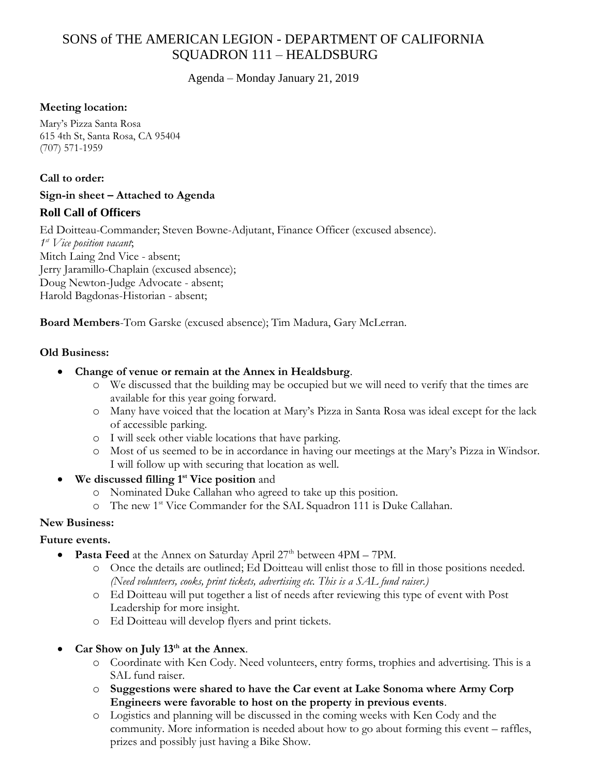# SONS of THE AMERICAN LEGION - DEPARTMENT OF CALIFORNIA SQUADRON 111 – HEALDSBURG

Agenda – Monday January 21, 2019

#### **Meeting location:**

Mary's Pizza Santa Rosa 615 4th St, Santa Rosa, CA 95404 (707) 571-1959

#### **Call to order:**

#### **Sign-in sheet – Attached to Agenda**

# **Roll Call of Officers**

Ed Doitteau-Commander; Steven Bowne-Adjutant, Finance Officer (excused absence). *1 st Vice position vacant*; Mitch Laing 2nd Vice - absent; Jerry Jaramillo-Chaplain (excused absence); Doug Newton-Judge Advocate - absent; Harold Bagdonas-Historian - absent;

**Board Members**-Tom Garske (excused absence); Tim Madura, Gary McLerran.

#### **Old Business:**

- **Change of venue or remain at the Annex in Healdsburg**.
	- o We discussed that the building may be occupied but we will need to verify that the times are available for this year going forward.
	- o Many have voiced that the location at Mary's Pizza in Santa Rosa was ideal except for the lack of accessible parking.
	- o I will seek other viable locations that have parking.
	- o Most of us seemed to be in accordance in having our meetings at the Mary's Pizza in Windsor. I will follow up with securing that location as well.
- **We discussed filling 1st Vice position** and
	- o Nominated Duke Callahan who agreed to take up this position.
	- o The new 1st Vice Commander for the SAL Squadron 111 is Duke Callahan.

#### **New Business:**

# **Future events.**

- **Pasta Feed** at the Annex on Saturday April 27<sup>th</sup> between 4PM 7PM.
	- o Once the details are outlined; Ed Doitteau will enlist those to fill in those positions needed. *(Need volunteers, cooks, print tickets, advertising etc. This is a SAL fund raiser.)*
	- o Ed Doitteau will put together a list of needs after reviewing this type of event with Post Leadership for more insight.
	- o Ed Doitteau will develop flyers and print tickets.
- **Car Show on July 13th at the Annex**.
	- o Coordinate with Ken Cody. Need volunteers, entry forms, trophies and advertising. This is a SAL fund raiser.
	- o **Suggestions were shared to have the Car event at Lake Sonoma where Army Corp Engineers were favorable to host on the property in previous events**.
	- o Logistics and planning will be discussed in the coming weeks with Ken Cody and the community. More information is needed about how to go about forming this event – raffles, prizes and possibly just having a Bike Show.